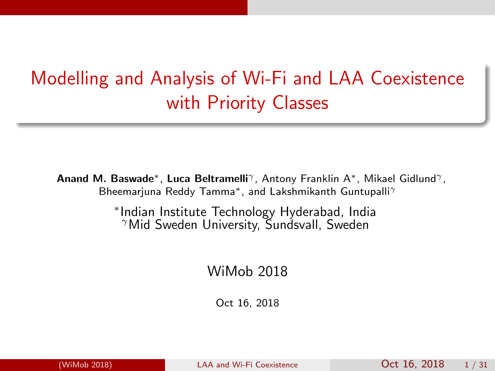## Modelling and Analysis of Wi-Fi and LAA Coexistence with Priority Classes

Anand M. Baswade<sup>\*</sup>, Luca Beltramelli<sup>γ</sup>, Antony Franklin A<sup>\*</sup>, Mikael Gidlund<sup>γ</sup>, Bheemarjuna Reddy Tamma<sup>\*</sup>, and Lakshmikanth Guntupalli<sup>γ</sup>

> ∗ Indian Institute Technology Hyderabad, India <sup>γ</sup>Mid Sweden University, Sundsvall, Sweden

> > WiMob 2018

<span id="page-0-0"></span>Oct 16, 2018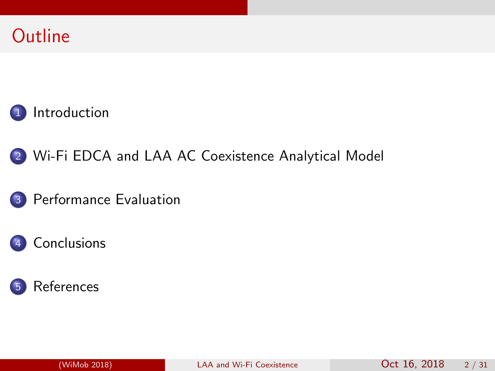





#### 3 [Performance Evaluation](#page-31-0)

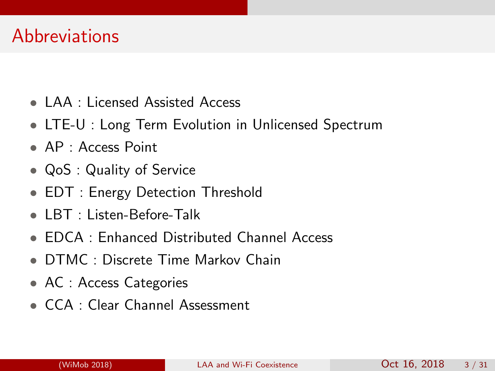#### **Abbreviations**

- LAA : Licensed Assisted Access
- LTE-U : Long Term Evolution in Unlicensed Spectrum
- AP : Access Point
- QoS : Quality of Service
- EDT : Energy Detection Threshold
- LBT : Listen-Before-Talk
- EDCA : Enhanced Distributed Channel Access
- DTMC : Discrete Time Markov Chain
- AC : Access Categories
- CCA : Clear Channel Assessment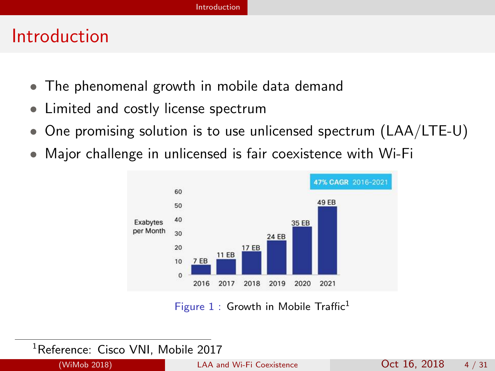#### Introduction

- The phenomenal growth in mobile data demand
- Limited and costly license spectrum
- One promising solution is to use unlicensed spectrum (LAA/LTE-U)
- Major challenge in unlicensed is fair coexistence with Wi-Fi



<span id="page-3-0"></span>Figure  $1$  : Growth in Mobile Traffic<sup>1</sup>

<sup>1</sup>Reference: Cisco VNI, Mobile 2017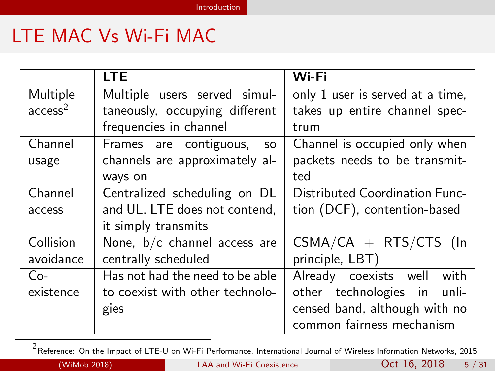## LTE MAC Vs Wi-Fi MAC

|                     | <b>LTE</b>                          | Wi-Fi                                 |  |  |
|---------------------|-------------------------------------|---------------------------------------|--|--|
| Multiple            | Multiple users served simul-        | only 1 user is served at a time,      |  |  |
| access <sup>2</sup> | taneously, occupying different      | takes up entire channel spec-         |  |  |
|                     | frequencies in channel              | trum                                  |  |  |
| Channel             | Frames are contiguous,<br><b>SO</b> | Channel is occupied only when         |  |  |
| usage               | channels are approximately al-      | packets needs to be transmit-         |  |  |
|                     | ways on                             | ted                                   |  |  |
| Channel             | Centralized scheduling on DL        | <b>Distributed Coordination Func-</b> |  |  |
| access              | and UL. LTE does not contend,       | tion (DCF), contention-based          |  |  |
|                     | it simply transmits                 |                                       |  |  |
| Collision           | None, $b/c$ channel access are      | $CSMA/CA + RTS/CTS$ (ln               |  |  |
| avoidance           | centrally scheduled                 | principle, LBT)                       |  |  |
| $Co-$               | Has not had the need to be able     | Already coexists well with            |  |  |
| existence           | to coexist with other technolo-     | other technologies in unli-           |  |  |
|                     | gies                                | censed band, although with no         |  |  |
|                     |                                     | common fairness mechanism             |  |  |

<span id="page-4-0"></span>2<br><sup>2</sup> Reference: On the Impact of LTE-U on Wi-Fi Performance, International Journal of Wireless Information Networks, 2015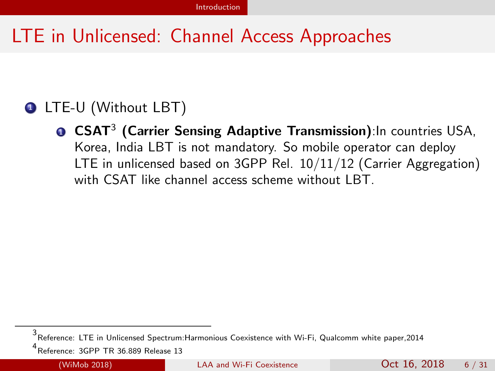### LTE in Unlicensed: Channel Access Approaches

#### **1 LTE-U (Without LBT)**

**D CSAT<sup>3</sup> (Carrier Sensing Adaptive Transmission)**:In countries USA, Korea, India LBT is not mandatory. So mobile operator can deploy LTE in unlicensed based on 3GPP Rel. 10/11/12 (Carrier Aggregation) with CSAT like channel access scheme without LBT.

<span id="page-5-0"></span>

<sup>3&</sup>lt;br><sup>4</sup> Deference: LTE in Unlicensed Spectrum:Harmonious Coexistence with Wi-Fi, Qualcomm white paper,2014<br><sup>4</sup> Deference: 2000 TD 36,000 Delaces 13

Reference: 3GPP TR 36.889 Release 13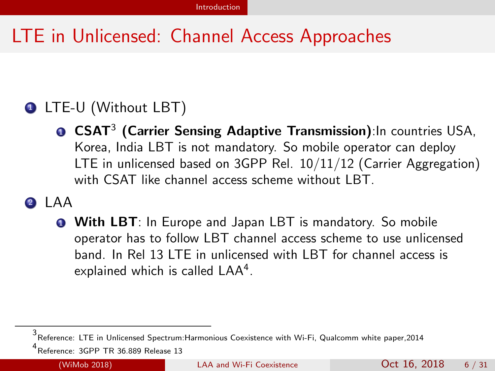## LTE in Unlicensed: Channel Access Approaches

#### **1 LTE-U (Without LBT)**

**D CSAT<sup>3</sup> (Carrier Sensing Adaptive Transmission)**:In countries USA, Korea, India LBT is not mandatory. So mobile operator can deploy LTE in unlicensed based on 3GPP Rel. 10/11/12 (Carrier Aggregation) with CSAT like channel access scheme without LBT.

#### <sup>2</sup> LAA

**1** With LBT: In Europe and Japan LBT is mandatory. So mobile operator has to follow LBT channel access scheme to use unlicensed band. In Rel 13 LTE in unlicensed with LBT for channel access is explained which is called LAA<sup>4</sup>.

<sup>3&</sup>lt;br><sup>4</sup> Deference: LTE in Unlicensed Spectrum:Harmonious Coexistence with Wi-Fi, Qualcomm white paper,2014<br><sup>4</sup> Deference: 2000 TD 36,000 Delaces 13

<span id="page-6-0"></span>Reference: 3GPP TR 36.889 Release 13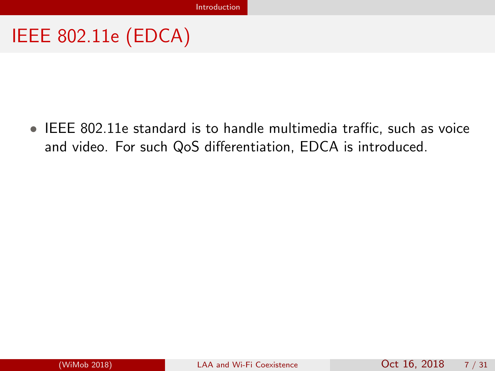<span id="page-7-0"></span>• IEEE 802.11e standard is to handle multimedia traffic, such as voice and video. For such QoS differentiation, EDCA is introduced.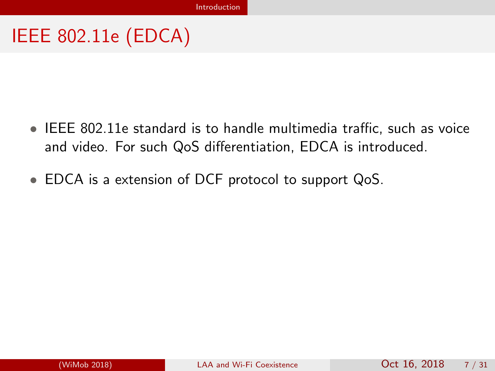- IEEE 802.11e standard is to handle multimedia traffic, such as voice and video. For such QoS differentiation, EDCA is introduced.
- <span id="page-8-0"></span>• EDCA is a extension of DCF protocol to support QoS.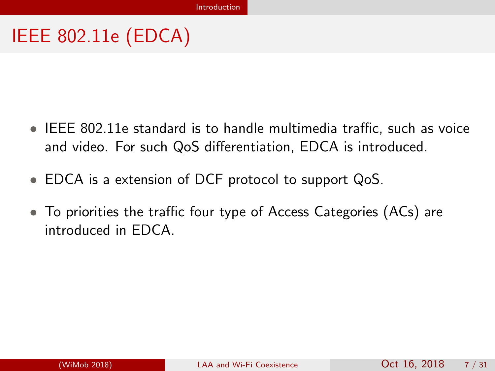- IEEE 802.11e standard is to handle multimedia traffic, such as voice and video. For such QoS differentiation, EDCA is introduced.
- EDCA is a extension of DCF protocol to support QoS.
- <span id="page-9-0"></span>• To priorities the traffic four type of Access Categories (ACs) are introduced in EDCA.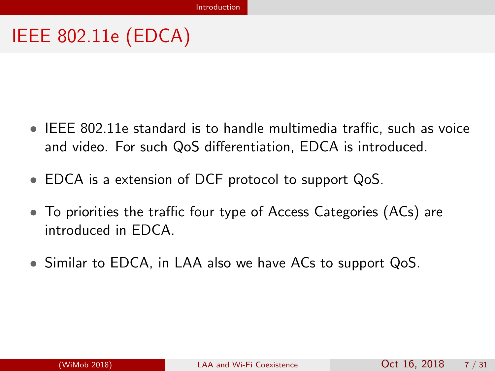- IEEE 802.11e standard is to handle multimedia traffic, such as voice and video. For such QoS differentiation, EDCA is introduced.
- EDCA is a extension of DCF protocol to support QoS.
- To priorities the traffic four type of Access Categories (ACs) are introduced in EDCA.
- <span id="page-10-0"></span>• Similar to EDCA, in LAA also we have ACs to support QoS.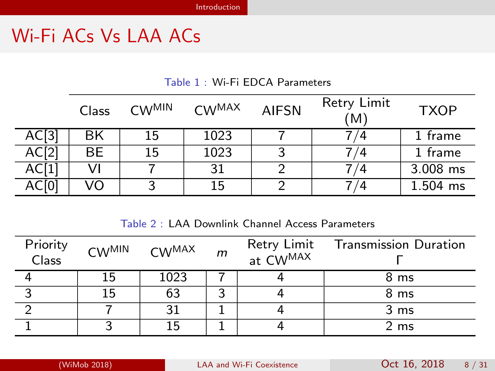## Wi-Fi ACs Vs LAA ACs

Table 1 : Wi-Fi EDCA Parameters

|                  | Class | $CW^{MIN}$ | <b>CWMAX</b> | <b>AIFSN</b> | Retry Limit<br>(M) | <b>TXOP</b> |
|------------------|-------|------------|--------------|--------------|--------------------|-------------|
| AC <sub>13</sub> | BK    | 15         | 1023         |              | 74                 | 1 frame     |
| AC[2]            | BЕ    | 15         | 1023         |              | 74                 | 1 frame     |
| AC[1]            |       |            | 31           |              | 4                  | 3.008 ms    |
| AC[0]            | VO    | 3          | 15           |              | 74                 | 1.504 ms    |

<span id="page-11-0"></span>Table 2 : LAA Downlink Channel Access Parameters

| Priority<br>Class |    | CW <sup>MIN</sup> CW <sup>MAX</sup> | $\mathsf{m}$ | Retry Limit Transmission Duration<br>at $CW^{MAX}$ |
|-------------------|----|-------------------------------------|--------------|----------------------------------------------------|
|                   | 15 | 1023                                |              | 8 ms                                               |
|                   | 15 | 63                                  |              | 8 ms                                               |
|                   |    |                                     |              | 3 <sub>ms</sub>                                    |
|                   |    | 15                                  |              | 2 ms                                               |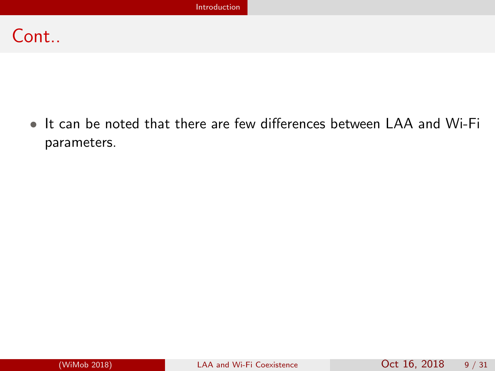#### Cont..

<span id="page-12-0"></span>• It can be noted that there are few differences between LAA and Wi-Fi parameters.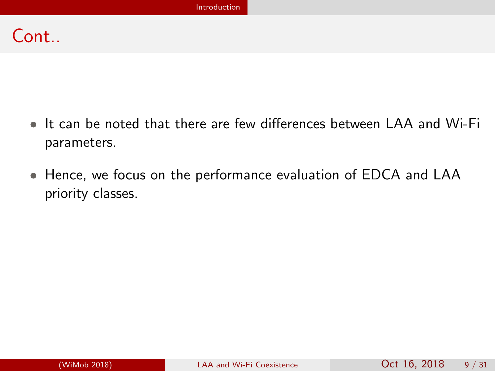#### Cont..

- It can be noted that there are few differences between LAA and Wi-Fi parameters.
- <span id="page-13-0"></span>• Hence, we focus on the performance evaluation of EDCA and LAA priority classes.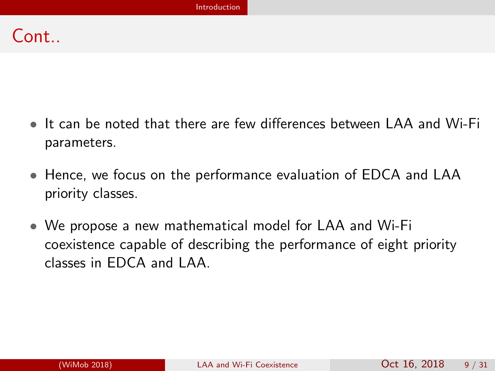#### $Cont$

- It can be noted that there are few differences between LAA and Wi-Fi parameters.
- Hence, we focus on the performance evaluation of EDCA and LAA priority classes.
- <span id="page-14-0"></span>• We propose a new mathematical model for LAA and Wi-Fi coexistence capable of describing the performance of eight priority classes in EDCA and LAA.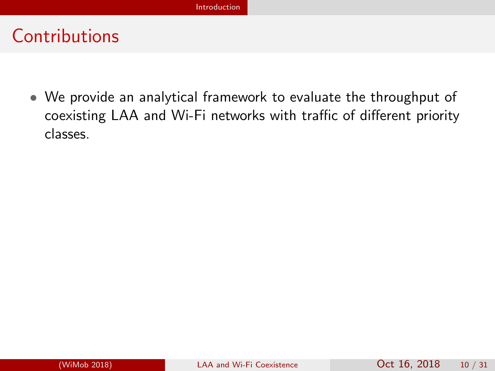<span id="page-15-0"></span>• We provide an analytical framework to evaluate the throughput of coexisting LAA and Wi-Fi networks with traffic of different priority classes.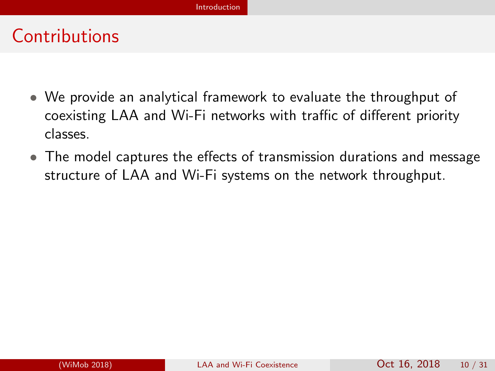- We provide an analytical framework to evaluate the throughput of coexisting LAA and Wi-Fi networks with traffic of different priority classes.
- <span id="page-16-0"></span>• The model captures the effects of transmission durations and message structure of LAA and Wi-Fi systems on the network throughput.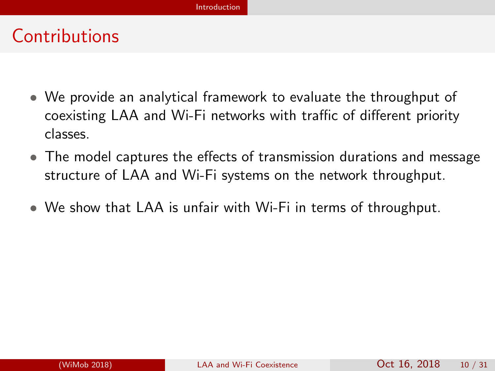- We provide an analytical framework to evaluate the throughput of coexisting LAA and Wi-Fi networks with traffic of different priority classes.
- The model captures the effects of transmission durations and message structure of LAA and Wi-Fi systems on the network throughput.
- <span id="page-17-0"></span>• We show that LAA is unfair with Wi-Fi in terms of throughput.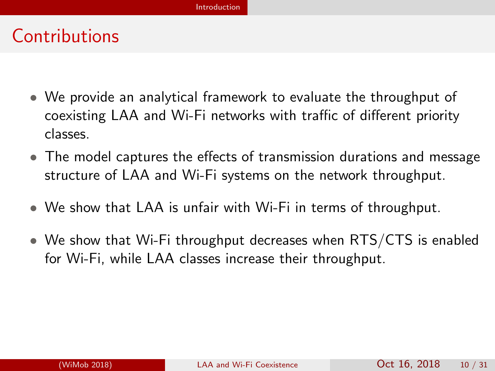- We provide an analytical framework to evaluate the throughput of coexisting LAA and Wi-Fi networks with traffic of different priority classes.
- The model captures the effects of transmission durations and message structure of LAA and Wi-Fi systems on the network throughput.
- We show that LAA is unfair with Wi-Fi in terms of throughput.
- <span id="page-18-0"></span>• We show that Wi-Fi throughput decreases when RTS/CTS is enabled for Wi-Fi, while LAA classes increase their throughput.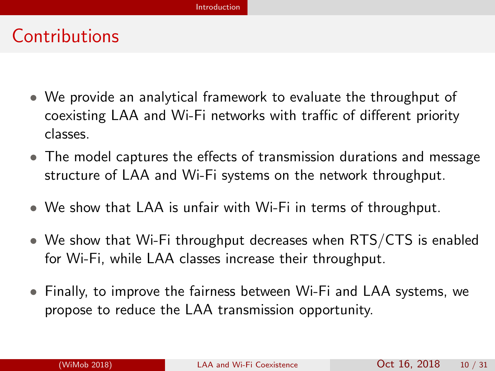- We provide an analytical framework to evaluate the throughput of coexisting LAA and Wi-Fi networks with traffic of different priority classes.
- The model captures the effects of transmission durations and message structure of LAA and Wi-Fi systems on the network throughput.
- We show that LAA is unfair with Wi-Fi in terms of throughput.
- We show that Wi-Fi throughput decreases when RTS/CTS is enabled for Wi-Fi, while LAA classes increase their throughput.
- <span id="page-19-0"></span>• Finally, to improve the fairness between Wi-Fi and LAA systems, we propose to reduce the LAA transmission opportunity.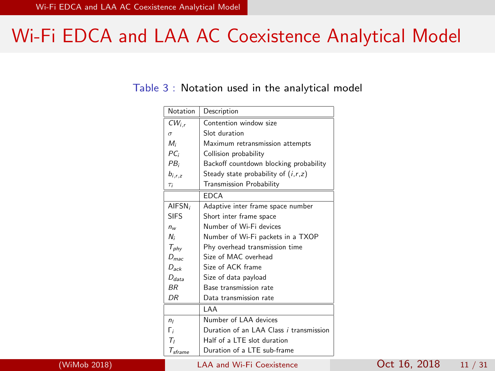#### Wi-Fi EDCA and LAA AC Coexistence Analytical Model

#### Table 3 : Notation used in the analytical model

<span id="page-20-0"></span>

| Notation                                   | Description                             |
|--------------------------------------------|-----------------------------------------|
| $CW_{i,r}$                                 | Contention window size                  |
| $\sigma$                                   | Slot duration                           |
| $M_i$                                      | Maximum retransmission attempts         |
| $PC_i$                                     | Collision probability                   |
| PB <sub>i</sub>                            | Backoff countdown blocking probability  |
| $b_{i.r.z}$                                | Steady state probability of $(i,r,z)$   |
| $T_i$                                      | <b>Transmission Probability</b>         |
|                                            | <b>FDCA</b>                             |
| AIFSN <sub>i</sub>                         | Adaptive inter frame space number       |
| <b>SIES</b>                                | Short inter frame space                 |
| $n_{\nu}$                                  | Number of Wi-Fi devices                 |
| N:                                         | Number of Wi-Fi packets in a TXOP       |
| $T_{phy}$                                  | Phy overhead transmission time          |
| $D_{\text{mac}}$                           | Size of MAC overhead                    |
| $D_{ack}$                                  | Size of ACK frame                       |
| $D_{data}$                                 | Size of data payload                    |
| <b>BR</b>                                  | Base transmission rate                  |
| DR                                         | Data transmission rate                  |
|                                            | I AA                                    |
| n <sub>l</sub>                             | Number of LAA devices                   |
| Г,                                         | Duration of an LAA Class i transmission |
| т,                                         | Half of a LTE slot duration             |
| $\tau_{\scriptscriptstyle{\text{sframe}}}$ | Duration of a LTF sub-frame             |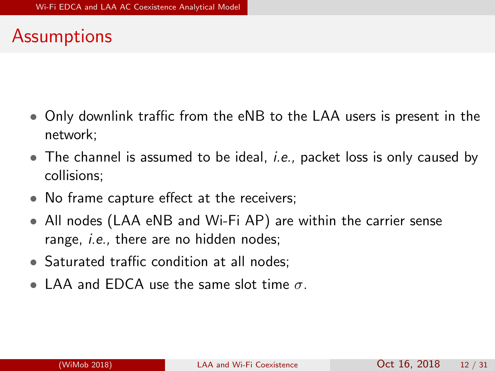#### Assumptions

- Only downlink traffic from the eNB to the LAA users is present in the network;
- $\bullet$  The channel is assumed to be ideal, *i.e.*, packet loss is only caused by collisions;
- No frame capture effect at the receivers;
- All nodes (LAA eNB and Wi-Fi AP) are within the carrier sense range, *i.e.*, there are no hidden nodes;
- Saturated traffic condition at all nodes;
- <span id="page-21-0"></span>• LAA and EDCA use the same slot time  $\sigma$ .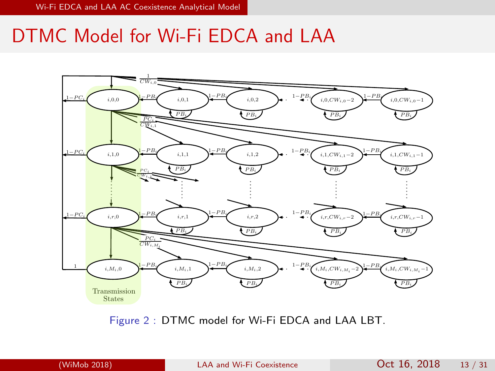#### DTMC Model for Wi-Fi EDCA and LAA



Figure 2 : DTMC model for Wi-Fi EDCA and LAA LBT.

<span id="page-22-0"></span>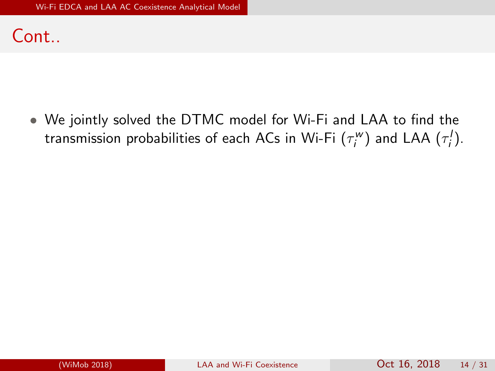#### Cont..

<span id="page-23-0"></span>• We jointly solved the DTMC model for Wi-Fi and LAA to find the transmission probabilities of each ACs in Wi-Fi  $(\tau_i^w)$  and LAA  $(\tau_i^l).$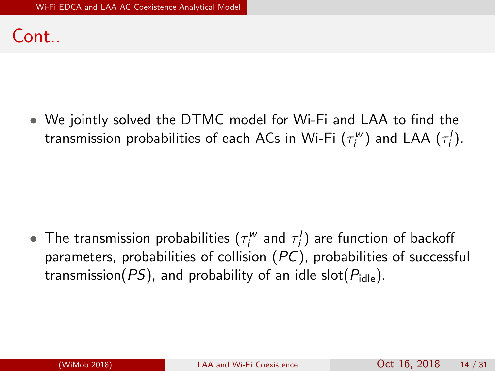#### $Cont$

• We jointly solved the DTMC model for Wi-Fi and LAA to find the transmission probabilities of each ACs in Wi-Fi  $(\tau_i^w)$  and LAA  $(\tau_i^l).$ 

<span id="page-24-0"></span> $\bullet$  The transmission probabilities  $(\tau_i^w$  and  $\tau_i^l)$  are function of backoff parameters, probabilities of collision (PC), probabilities of successful transmission( $PS$ ), and probability of an idle slot( $P_{idle}$ ).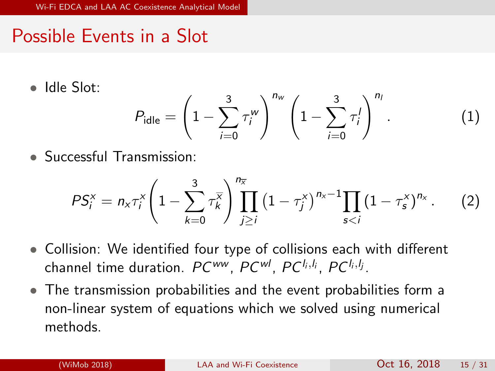## Possible Events in a Slot

• Idle Slot:

<span id="page-25-0"></span>
$$
P_{\text{idle}} = \left(1 - \sum_{i=0}^{3} \tau_i^{w}\right)^{n_w} \left(1 - \sum_{i=0}^{3} \tau_i^{1}\right)^{n_i}.
$$
 (1)

• Successful Transmission:

$$
PS_i^x = n_x \tau_i^x \left( 1 - \sum_{k=0}^3 \tau_k^x \right) \prod_{j \geq i}^{n_x} \left( 1 - \tau_j^x \right)^{n_x - 1} \prod_{s < i} \left( 1 - \tau_s^x \right)^{n_x} . \tag{2}
$$

- Collision: We identified four type of collisions each with different channel time duration.  $PC^{\mathsf{ww}},$   $PC^{\mathsf{wl}},$   $PC^{l_i, l_i},$   $PC^{l_i, l_j}.$
- The transmission probabilities and the event probabilities form a non-linear system of equations which we solved using numerical methods.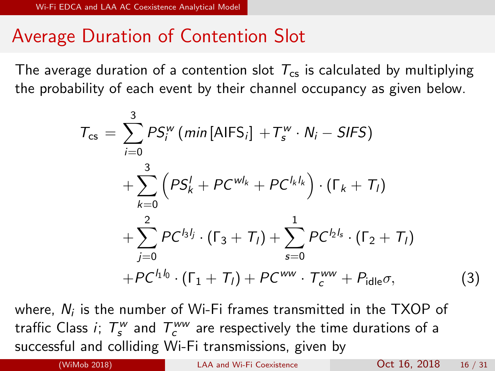#### Average Duration of Contention Slot

The average duration of a contention slot  $T_{cs}$  is calculated by multiplying the probability of each event by their channel occupancy as given below.

$$
T_{cs} = \sum_{i=0}^{3} PS_{i}^{w} (min[AIFS_{i}] + T_{s}^{w} \cdot N_{i} - SIFS)
$$
  
+ 
$$
\sum_{k=0}^{3} (PS_{k}^{l} + PC^{wl_{k}} + PC^{l_{k}l_{k}}) \cdot (\Gamma_{k} + T_{l})
$$
  
+ 
$$
\sum_{j=0}^{2} PC^{l_{3}l_{j}} \cdot (\Gamma_{3} + T_{l}) + \sum_{s=0}^{1} PC^{l_{2}l_{s}} \cdot (\Gamma_{2} + T_{l})
$$
  
+ PC<sup>l\_{1}l\_{0} \cdot (\Gamma\_{1} + T\_{l}) + PC^{ww} \cdot T\_{c}^{ww} + P\_{idle}\sigma, (3)</sup>

where,  $N_i$  is the number of Wi-Fi frames transmitted in the TXOP of traffic Class  $i;~T_{s}^{w}$  and  $T_{c}^{ww}$  are respectively the time durations of a successful and colliding Wi-Fi transmissions, given by

<span id="page-26-0"></span>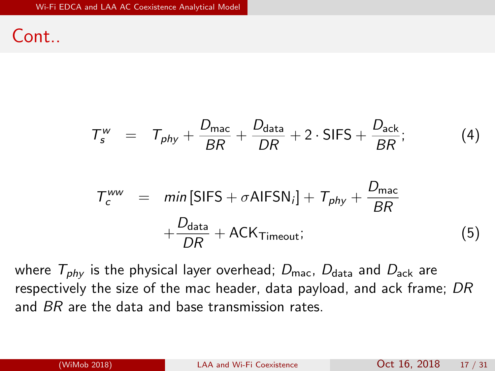Cont..

<span id="page-27-0"></span>
$$
T_{s}^{w} = T_{phy} + \frac{D_{\text{mac}}}{BR} + \frac{D_{\text{data}}}{DR} + 2 \cdot \text{SIFS} + \frac{D_{\text{ack}}}{BR};
$$
\n
$$
T_{c}^{ww} = \min \left[ \text{SIFS} + \sigma \text{AlFSN}_{i} \right] + T_{phy} + \frac{D_{\text{mac}}}{BR}
$$
\n
$$
+ \frac{D_{\text{data}}}{DR} + \text{ACK}_{\text{Timeout}}; \tag{5}
$$

where  $T_{phv}$  is the physical layer overhead;  $D_{\text{mac}}$ ,  $D_{\text{data}}$  and  $D_{\text{ack}}$  are respectively the size of the mac header, data payload, and ack frame; DR and BR are the data and base transmission rates.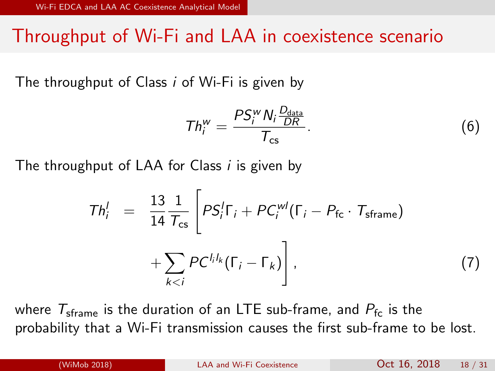#### Throughput of Wi-Fi and LAA in coexistence scenario

The throughput of Class i of Wi-Fi is given by

<span id="page-28-0"></span>
$$
Th_i^w = \frac{PS_i^w N_i \frac{D_{\text{data}}}{DR}}{T_{\text{cs}}}.
$$
 (6)

The throughput of LAA for Class *i* is given by

$$
Th_i^l = \frac{13}{14} \frac{1}{T_{cs}} \left[ PS_i^l \Gamma_i + PC_i^{wl} (\Gamma_i - P_{fc} \cdot T_{frame}) + \sum_{k < i} PC^{l_i l_k} (\Gamma_i - \Gamma_k) \right], \tag{7}
$$

where  $T_{\text{cframe}}$  is the duration of an LTE sub-frame, and  $P_{\text{fc}}$  is the probability that a Wi-Fi transmission causes the first sub-frame to be lost.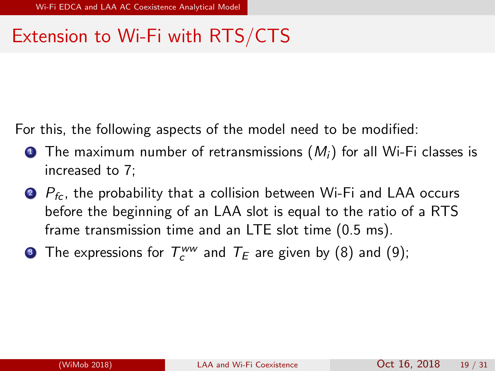## Extension to Wi-Fi with RTS/CTS

For this, the following aspects of the model need to be modified:

- **1** The maximum number of retransmissions  $(M_i)$  for all Wi-Fi classes is increased to 7;
- $\bullet$   $P_{fc}$ , the probability that a collision between Wi-Fi and LAA occurs before the beginning of an LAA slot is equal to the ratio of a RTS frame transmission time and an LTE slot time (0.5 ms).
- <span id="page-29-0"></span>**3** The expressions for  $T_c^{ww}$  and  $T_E$  are given by [\(8\)](#page-30-0) and [\(9\)](#page-30-1);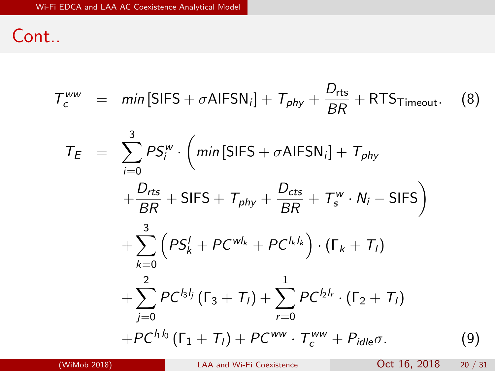#### Cont..

<span id="page-30-0"></span>
$$
T_c^{ww} = min[SIFS + \sigma AIFSN_i] + T_{phy} + \frac{D_{rts}}{BR} + RTST_{timeout}.
$$
 (8)

<span id="page-30-2"></span><span id="page-30-1"></span>
$$
T_{E} = \sum_{i=0}^{3} PS_{i}^{w} \cdot (min[SIFS + \sigma AIFSN_{i}] + T_{phy} + \frac{D_{rts}}{BR} + SIFS + T_{phy} + \frac{D_{cts}}{BR} + T_{s}^{w} \cdot N_{i} - SIFS) + \sum_{k=0}^{3} (PS_{k}^{l} + PC^{wl_{k}} + PC^{l_{k}l_{k}}) \cdot (\Gamma_{k} + T_{i}) + \sum_{j=0}^{2} PC^{l_{3}l_{j}} (\Gamma_{3} + T_{i}) + \sum_{r=0}^{1} PC^{l_{2}l_{r}} \cdot (\Gamma_{2} + T_{i}) + PC^{l_{1}l_{0}} (\Gamma_{1} + T_{i}) + PC^{ww} \cdot T_{c}^{ww} + P_{idle}\sigma.
$$
 (9)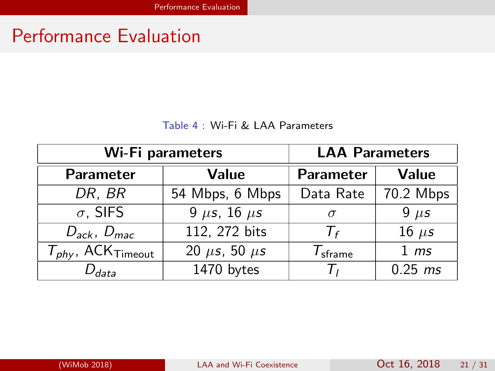## Performance Evaluation

#### <span id="page-31-0"></span>Table 4 : Wi-Fi & LAA Parameters

| Wi-Fi parameters             | <b>LAA Parameters</b>  |                             |                  |
|------------------------------|------------------------|-----------------------------|------------------|
| <b>Parameter</b>             | Value                  | Parameter                   | Value            |
| DR, BR                       | 54 Mbps, 6 Mbps        | Data Rate                   | 70.2 Mbps        |
| $\sigma$ , SIFS              | 9 $\mu$ s, 16 $\mu$ s  | $\sigma$                    | $9 \mu s$        |
| $D_{ack}$ , $D_{mac}$        | 112, 272 bits          | $T_f$                       | 16 $\mu$ s       |
| $T_{phy}$ , ACK $_{Timeout}$ | 20 $\mu$ s, 50 $\mu$ s | $\mathcal{T}_{\sf{sframe}}$ | $1 \, \text{ms}$ |
| $D_{data}$                   | 1470 bytes             | $T_{I}$                     | $0.25$ ms        |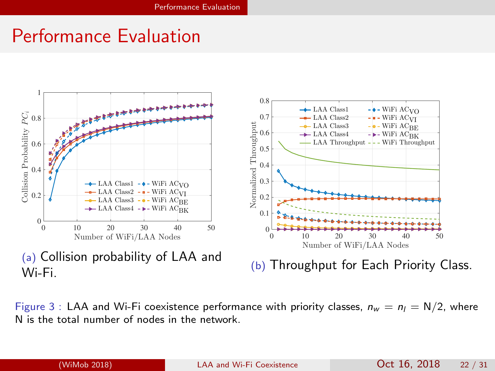#### Performance Evaluation



Figure 3 : LAA and Wi-Fi coexistence performance with priority classes,  $n_w = n_l = N/2$ , where N is the total number of nodes in the network.

<span id="page-32-0"></span>(WiMob 2018) [LAA and Wi-Fi Coexistence](#page-0-0) Oct 16, 2018 22 / 31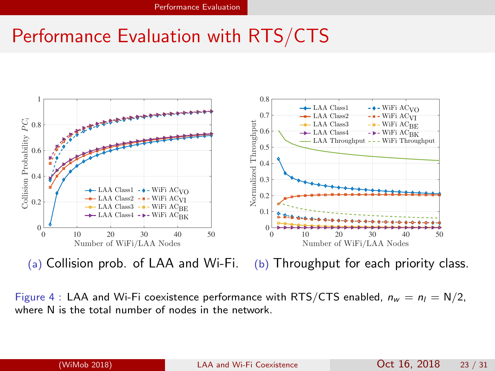## Performance Evaluation with RTS/CTS



<span id="page-33-0"></span>(a) Collision prob. of LAA and Wi-Fi. (b) Throughput for each priority class.

Figure 4 : LAA and Wi-Fi coexistence performance with RTS/CTS enabled,  $n_w = n_l = N/2$ , where N is the total number of nodes in the network.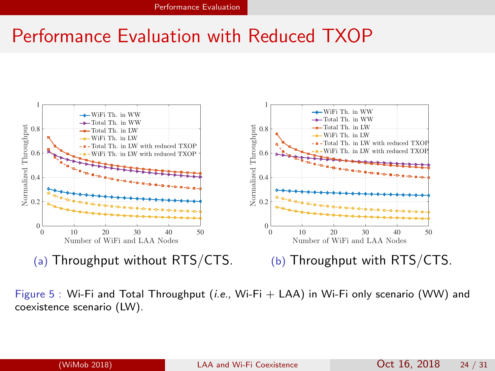#### Performance Evaluation with Reduced TXOP



(a) Throughput without RTS/CTS.

<span id="page-34-0"></span>(b) Throughput with RTS/CTS.

Figure 5 : Wi-Fi and Total Throughput (*i.e.*, Wi-Fi + LAA) in Wi-Fi only scenario (WW) and coexistence scenario (LW).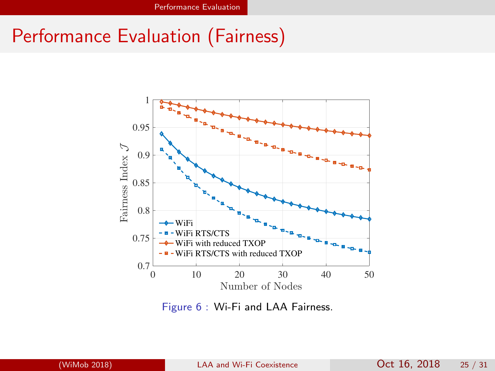## Performance Evaluation (Fairness)



<span id="page-35-0"></span>Figure 6 : Wi-Fi and LAA Fairness.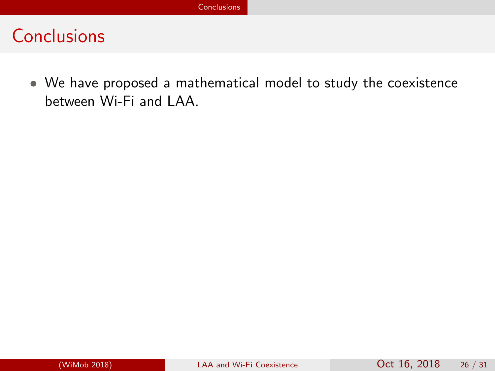<span id="page-36-0"></span>• We have proposed a mathematical model to study the coexistence between Wi-Fi and LAA.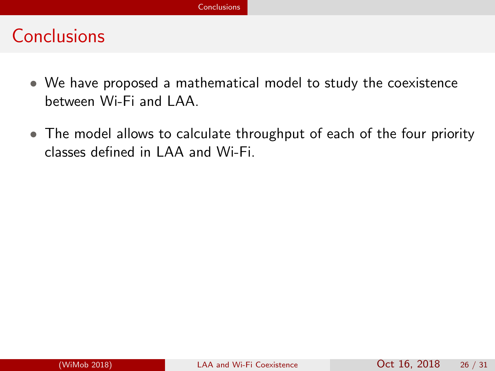- We have proposed a mathematical model to study the coexistence between Wi-Fi and LAA.
- <span id="page-37-0"></span>• The model allows to calculate throughput of each of the four priority classes defined in LAA and Wi-Fi.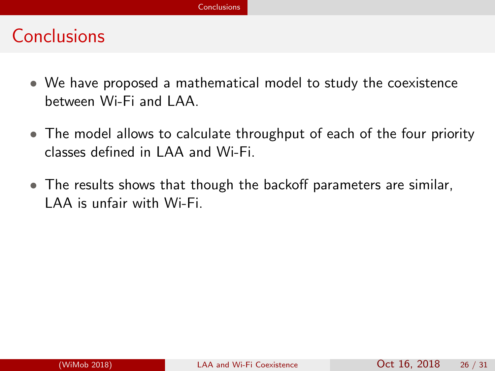- We have proposed a mathematical model to study the coexistence between Wi-Fi and LAA.
- The model allows to calculate throughput of each of the four priority classes defined in LAA and Wi-Fi.
- <span id="page-38-0"></span>• The results shows that though the backoff parameters are similar, LAA is unfair with Wi-Fi.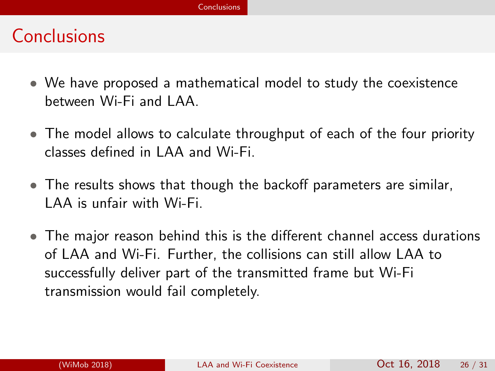- We have proposed a mathematical model to study the coexistence between Wi-Fi and LAA.
- The model allows to calculate throughput of each of the four priority classes defined in LAA and Wi-Fi.
- The results shows that though the backoff parameters are similar, LAA is unfair with Wi-Fi.
- <span id="page-39-0"></span>• The major reason behind this is the different channel access durations of LAA and Wi-Fi. Further, the collisions can still allow LAA to successfully deliver part of the transmitted frame but Wi-Fi transmission would fail completely.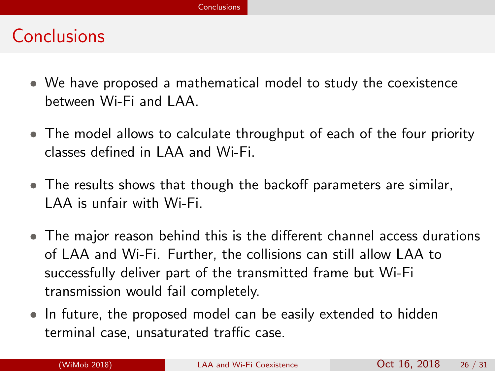- We have proposed a mathematical model to study the coexistence between Wi-Fi and LAA.
- The model allows to calculate throughput of each of the four priority classes defined in LAA and Wi-Fi.
- The results shows that though the backoff parameters are similar, LAA is unfair with Wi-Fi.
- The major reason behind this is the different channel access durations of LAA and Wi-Fi. Further, the collisions can still allow LAA to successfully deliver part of the transmitted frame but Wi-Fi transmission would fail completely.
- <span id="page-40-0"></span>• In future, the proposed model can be easily extended to hidden terminal case, unsaturated traffic case.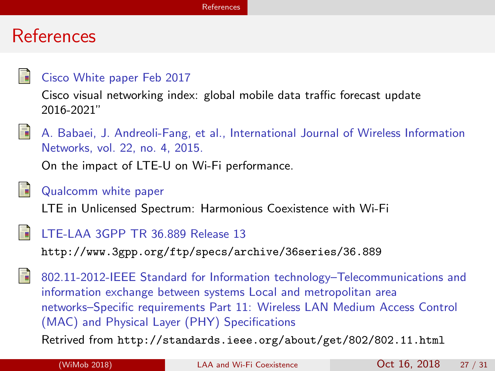#### References

#### Cisco White paper Feb 2017

Cisco visual networking index: global mobile data traffic forecast update 2016-2021"



A. Babaei, J. Andreoli-Fang, et al., International Journal of Wireless Information Networks, vol. 22, no. 4, 2015.

On the impact of LTE-U on Wi-Fi performance.



#### Qualcomm white paper

LTE in Unlicensed Spectrum: Harmonious Coexistence with Wi-Fi



#### LTE-LAA 3GPP TR 36.889 Release 13

<http://www.3gpp.org/ftp/specs/archive/36series/36.889>



802.11-2012-IEEE Standard for Information technology–Telecommunications and information exchange between systems Local and metropolitan area networks–Specific requirements Part 11: Wireless LAN Medium Access Control (MAC) and Physical Layer (PHY) Specifications

Retrived from [http://standards.ieee.org/about/get/802/802.11.html](http://standards. ieee. org/about/get/802/802.11. html)

<span id="page-41-0"></span>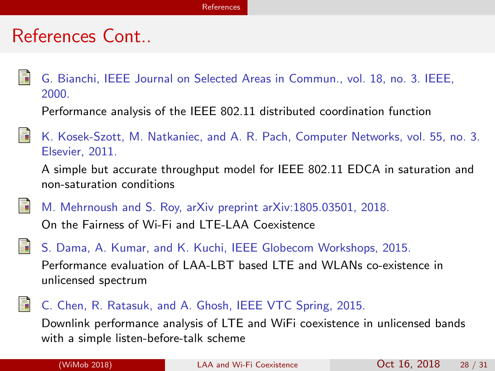#### References Cont..

G. Bianchi, IEEE Journal on Selected Areas in Commun., vol. 18, no. 3. IEEE, 2000.

Performance analysis of the IEEE 802.11 distributed coordination function



A simple but accurate throughput model for IEEE 802.11 EDCA in saturation and non-saturation conditions

M. Mehrnoush and S. Roy, arXiv preprint arXiv:1805.03501, 2018.

On the Fairness of Wi-Fi and LTE-LAA Coexistence

S. Dama, A. Kumar, and K. Kuchi, IEEE Globecom Workshops, 2015.

Performance evaluation of LAA-LBT based LTE and WLANs co-existence in unlicensed spectrum

#### C. Chen, R. Ratasuk, and A. Ghosh, IEEE VTC Spring, 2015.

<span id="page-42-0"></span>Downlink performance analysis of LTE and WiFi coexistence in unlicensed bands with a simple listen-before-talk scheme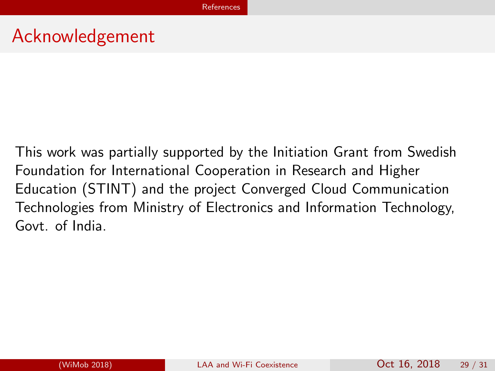#### Acknowledgement

<span id="page-43-0"></span>This work was partially supported by the Initiation Grant from Swedish Foundation for International Cooperation in Research and Higher Education (STINT) and the project Converged Cloud Communication Technologies from Ministry of Electronics and Information Technology, Govt. of India.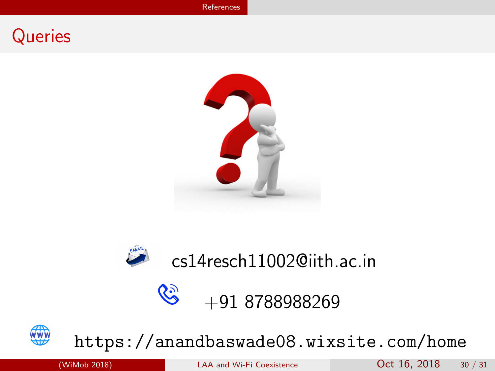#### **Queries**





 $\mathcal{C}$ 

## cs14resch11002@iith.ac.in

## <span id="page-44-0"></span>+91 8788988269



#### <https://anandbaswade08.wixsite.com/home>

(WiMob 2018) [LAA and Wi-Fi Coexistence](#page-0-0) Oct 16, 2018 30 / 31